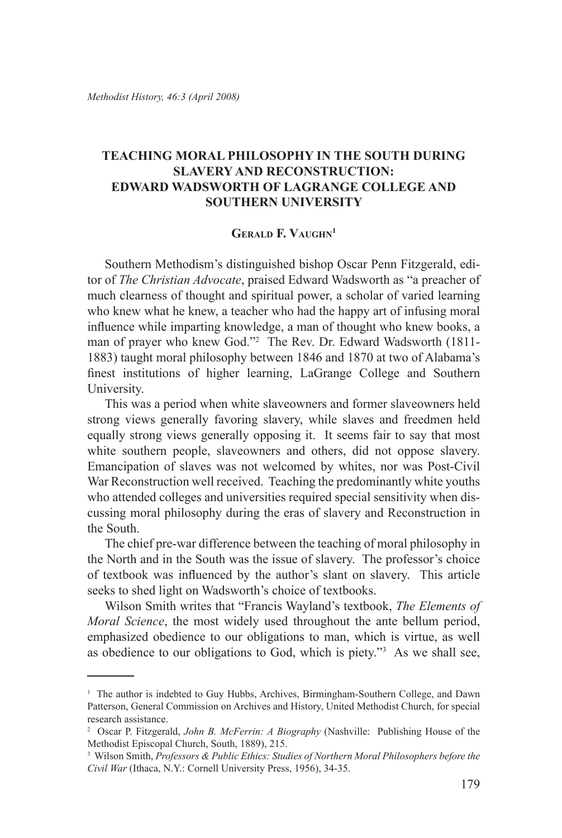## **Teaching Moral Philosophy in the South During Slavery and Reconstruction: Edward Wadsworth of LaGrange College and Southern University**

## **Gerald F. Vaughn**

Southern Methodism's distinguished bishop Oscar Penn Fitzgerald, editor of *The Christian Advocate*, praised Edward Wadsworth as "a preacher of much clearness of thought and spiritual power, a scholar of varied learning who knew what he knew, a teacher who had the happy art of infusing moral influence while imparting knowledge, a man of thought who knew books, a man of prayer who knew God."2 The Rev. Dr. Edward Wadsworth (1811- 1883) taught moral philosophy between 1846 and 1870 at two of Alabama's finest institutions of higher learning, LaGrange College and Southern University.

This was a period when white slaveowners and former slaveowners held strong views generally favoring slavery, while slaves and freedmen held equally strong views generally opposing it. It seems fair to say that most white southern people, slaveowners and others, did not oppose slavery. Emancipation of slaves was not welcomed by whites, nor was Post-Civil War Reconstruction well received. Teaching the predominantly white youths who attended colleges and universities required special sensitivity when discussing moral philosophy during the eras of slavery and Reconstruction in the South.

The chief pre-war difference between the teaching of moral philosophy in the North and in the South was the issue of slavery. The professor's choice of textbook was influenced by the author's slant on slavery. This article seeks to shed light on Wadsworth's choice of textbooks.

Wilson Smith writes that "Francis Wayland's textbook, *The Elements of Moral Science*, the most widely used throughout the ante bellum period, emphasized obedience to our obligations to man, which is virtue, as well as obedience to our obligations to God, which is piety."3 As we shall see,

<sup>&</sup>lt;sup>1</sup> The author is indebted to Guy Hubbs, Archives, Birmingham-Southern College, and Dawn Patterson, General Commission on Archives and History, United Methodist Church, for special research assistance.

<sup>2</sup> Oscar P. Fitzgerald, *John B. McFerrin: A Biography* (Nashville: Publishing House of the Methodist Episcopal Church, South, 1889), 215.

<sup>3</sup> Wilson Smith, *Professors & Public Ethics: Studies of Northern Moral Philosophers before the Civil War* (Ithaca, N.Y.: Cornell University Press, 1956), 34-35.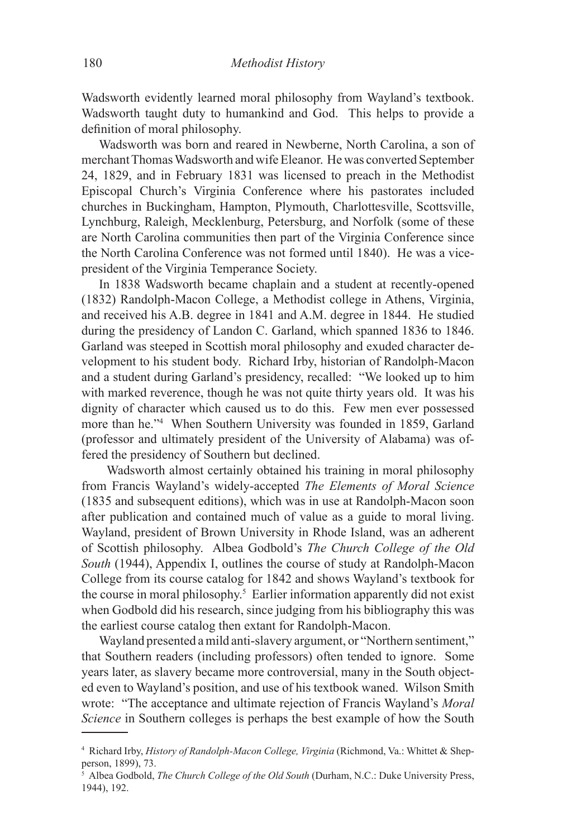Wadsworth evidently learned moral philosophy from Wayland's textbook. Wadsworth taught duty to humankind and God. This helps to provide a definition of moral philosophy.

Wadsworth was born and reared in Newberne, North Carolina, a son of merchant Thomas Wadsworth and wife Eleanor. He was converted September 24, 1829, and in February 1831 was licensed to preach in the Methodist Episcopal Church's Virginia Conference where his pastorates included churches in Buckingham, Hampton, Plymouth, Charlottesville, Scottsville, Lynchburg, Raleigh, Mecklenburg, Petersburg, and Norfolk (some of these are North Carolina communities then part of the Virginia Conference since the North Carolina Conference was not formed until 1840). He was a vicepresident of the Virginia Temperance Society.

In 1838 Wadsworth became chaplain and a student at recently-opened (1832) Randolph-Macon College, a Methodist college in Athens, Virginia, and received his A.B. degree in 1841 and A.M. degree in 1844. He studied during the presidency of Landon C. Garland, which spanned 1836 to 1846. Garland was steeped in Scottish moral philosophy and exuded character development to his student body. Richard Irby, historian of Randolph-Macon and a student during Garland's presidency, recalled: "We looked up to him with marked reverence, though he was not quite thirty years old. It was his dignity of character which caused us to do this. Few men ever possessed more than he."4 When Southern University was founded in 1859, Garland (professor and ultimately president of the University of Alabama) was offered the presidency of Southern but declined.

 Wadsworth almost certainly obtained his training in moral philosophy from Francis Wayland's widely-accepted *The Elements of Moral Science* (1835 and subsequent editions), which was in use at Randolph-Macon soon after publication and contained much of value as a guide to moral living. Wayland, president of Brown University in Rhode Island, was an adherent of Scottish philosophy. Albea Godbold's *The Church College of the Old South* (1944), Appendix I, outlines the course of study at Randolph-Macon College from its course catalog for 1842 and shows Wayland's textbook for the course in moral philosophy.5 Earlier information apparently did not exist when Godbold did his research, since judging from his bibliography this was the earliest course catalog then extant for Randolph-Macon.

Wayland presented a mild anti-slavery argument, or "Northern sentiment," that Southern readers (including professors) often tended to ignore. Some years later, as slavery became more controversial, many in the South objected even to Wayland's position, and use of his textbook waned. Wilson Smith wrote: "The acceptance and ultimate rejection of Francis Wayland's *Moral Science* in Southern colleges is perhaps the best example of how the South

<sup>4</sup> Richard Irby, *History of Randolph-Macon College, Virginia* (Richmond, Va.: Whittet & Shepperson, 1899), 73.

<sup>5</sup> Albea Godbold, *The Church College of the Old South* (Durham, N.C.: Duke University Press, 1944), 192.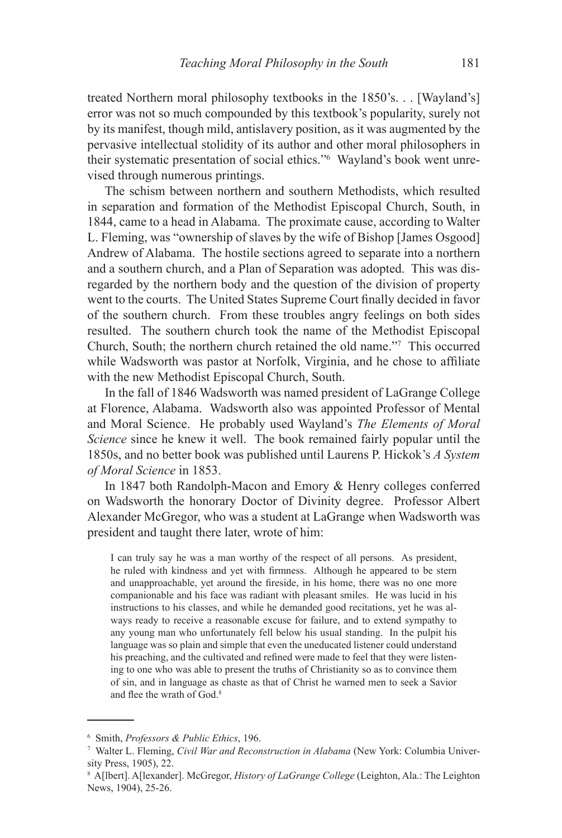treated Northern moral philosophy textbooks in the 1850's. . . [Wayland's] error was not so much compounded by this textbook's popularity, surely not by its manifest, though mild, antislavery position, as it was augmented by the pervasive intellectual stolidity of its author and other moral philosophers in their systematic presentation of social ethics."6 Wayland's book went unrevised through numerous printings.

The schism between northern and southern Methodists, which resulted in separation and formation of the Methodist Episcopal Church, South, in 1844, came to a head in Alabama. The proximate cause, according to Walter L. Fleming, was "ownership of slaves by the wife of Bishop [James Osgood] Andrew of Alabama. The hostile sections agreed to separate into a northern and a southern church, and a Plan of Separation was adopted. This was disregarded by the northern body and the question of the division of property went to the courts. The United States Supreme Court finally decided in favor of the southern church. From these troubles angry feelings on both sides resulted. The southern church took the name of the Methodist Episcopal Church, South; the northern church retained the old name."7 This occurred while Wadsworth was pastor at Norfolk, Virginia, and he chose to affiliate with the new Methodist Episcopal Church, South.

In the fall of 1846 Wadsworth was named president of LaGrange College at Florence, Alabama. Wadsworth also was appointed Professor of Mental and Moral Science. He probably used Wayland's *The Elements of Moral Science* since he knew it well. The book remained fairly popular until the 1850s, and no better book was published until Laurens P. Hickok's *A System of Moral Science* in 1853.

In 1847 both Randolph-Macon and Emory & Henry colleges conferred on Wadsworth the honorary Doctor of Divinity degree. Professor Albert Alexander McGregor, who was a student at LaGrange when Wadsworth was president and taught there later, wrote of him:

I can truly say he was a man worthy of the respect of all persons. As president, he ruled with kindness and yet with firmness. Although he appeared to be stern and unapproachable, yet around the fireside, in his home, there was no one more companionable and his face was radiant with pleasant smiles. He was lucid in his instructions to his classes, and while he demanded good recitations, yet he was always ready to receive a reasonable excuse for failure, and to extend sympathy to any young man who unfortunately fell below his usual standing. In the pulpit his language was so plain and simple that even the uneducated listener could understand his preaching, and the cultivated and refined were made to feel that they were listening to one who was able to present the truths of Christianity so as to convince them of sin, and in language as chaste as that of Christ he warned men to seek a Savior and flee the wrath of God.<sup>8</sup>

<sup>6</sup> Smith, *Professors & Public Ethics*, 196.

<sup>7</sup> Walter L. Fleming, *Civil War and Reconstruction in Alabama* (New York: Columbia University Press, 1905), 22.

<sup>8</sup> A[lbert]. A[lexander]. McGregor, *History of LaGrange College* (Leighton, Ala.: The Leighton News, 1904), 25-26.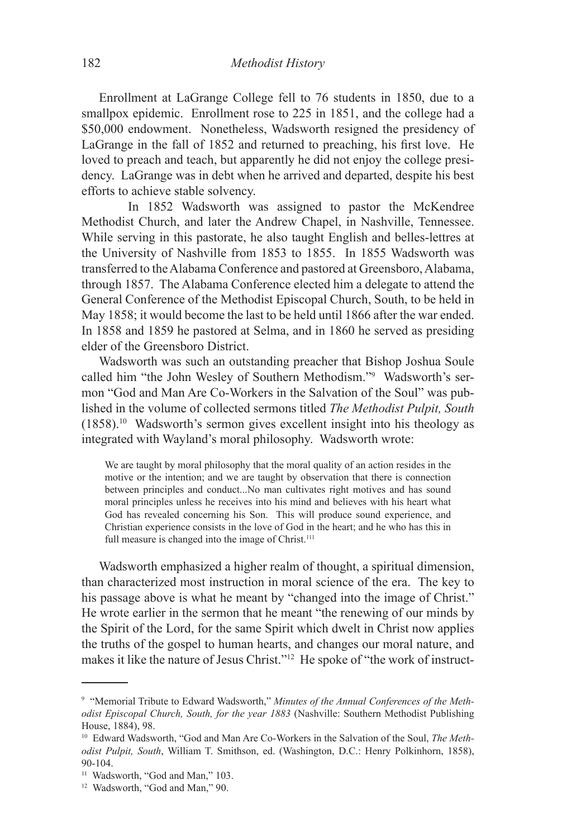Enrollment at LaGrange College fell to 76 students in 1850, due to a smallpox epidemic. Enrollment rose to 225 in 1851, and the college had a \$50,000 endowment. Nonetheless, Wadsworth resigned the presidency of LaGrange in the fall of 1852 and returned to preaching, his first love. He loved to preach and teach, but apparently he did not enjoy the college presidency. LaGrange was in debt when he arrived and departed, despite his best efforts to achieve stable solvency.

In 1852 Wadsworth was assigned to pastor the McKendree Methodist Church, and later the Andrew Chapel, in Nashville, Tennessee. While serving in this pastorate, he also taught English and belles-lettres at the University of Nashville from 1853 to 1855. In 1855 Wadsworth was transferred to the Alabama Conference and pastored at Greensboro, Alabama, through 1857. The Alabama Conference elected him a delegate to attend the General Conference of the Methodist Episcopal Church, South, to be held in May 1858; it would become the last to be held until 1866 after the war ended. In 1858 and 1859 he pastored at Selma, and in 1860 he served as presiding elder of the Greensboro District.

Wadsworth was such an outstanding preacher that Bishop Joshua Soule called him "the John Wesley of Southern Methodism."9 Wadsworth's sermon "God and Man Are Co-Workers in the Salvation of the Soul" was published in the volume of collected sermons titled *The Methodist Pulpit, South* (1858).10 Wadsworth's sermon gives excellent insight into his theology as integrated with Wayland's moral philosophy. Wadsworth wrote:

We are taught by moral philosophy that the moral quality of an action resides in the motive or the intention; and we are taught by observation that there is connection between principles and conduct...No man cultivates right motives and has sound moral principles unless he receives into his mind and believes with his heart what God has revealed concerning his Son. This will produce sound experience, and Christian experience consists in the love of God in the heart; and he who has this in full measure is changed into the image of Christ.<sup>111</sup>

Wadsworth emphasized a higher realm of thought, a spiritual dimension, than characterized most instruction in moral science of the era. The key to his passage above is what he meant by "changed into the image of Christ." He wrote earlier in the sermon that he meant "the renewing of our minds by the Spirit of the Lord, for the same Spirit which dwelt in Christ now applies the truths of the gospel to human hearts, and changes our moral nature, and makes it like the nature of Jesus Christ."12 He spoke of "the work of instruct-

<sup>&</sup>lt;sup>9</sup> "Memorial Tribute to Edward Wadsworth," Minutes of the Annual Conferences of the Meth*odist Episcopal Church, South, for the year 1883* (Nashville: Southern Methodist Publishing House, 1884), 98.

<sup>10</sup> Edward Wadsworth, "God and Man Are Co-Workers in the Salvation of the Soul, *The Methodist Pulpit, South*, William T. Smithson, ed. (Washington, D.C.: Henry Polkinhorn, 1858), 90-104.

<sup>&</sup>lt;sup>11</sup> Wadsworth, "God and Man," 103.

<sup>12</sup> Wadsworth, "God and Man," 90.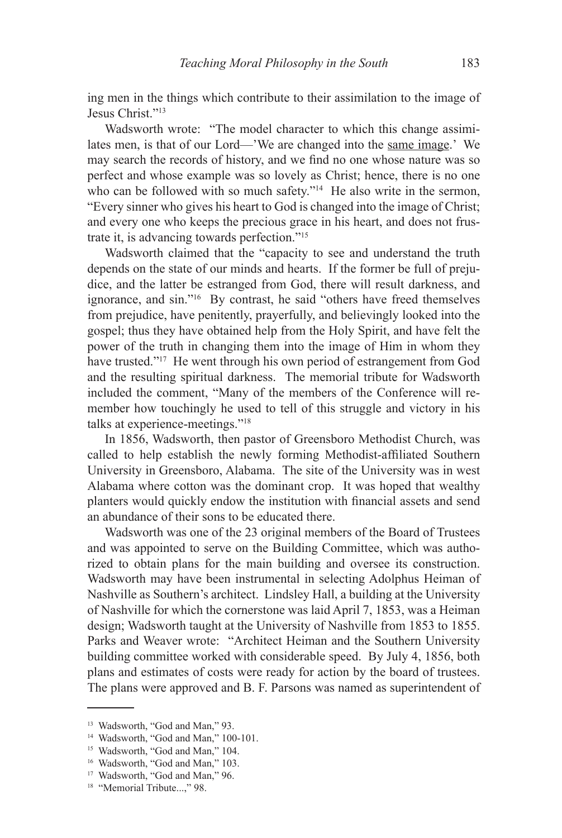ing men in the things which contribute to their assimilation to the image of Jesus Christ."13

Wadsworth wrote: "The model character to which this change assimilates men, is that of our Lord—'We are changed into the same image.' We may search the records of history, and we find no one whose nature was so perfect and whose example was so lovely as Christ; hence, there is no one who can be followed with so much safety."<sup>14</sup> He also write in the sermon, "Every sinner who gives his heart to God is changed into the image of Christ; and every one who keeps the precious grace in his heart, and does not frustrate it, is advancing towards perfection."15

Wadsworth claimed that the "capacity to see and understand the truth depends on the state of our minds and hearts. If the former be full of prejudice, and the latter be estranged from God, there will result darkness, and ignorance, and sin."16 By contrast, he said "others have freed themselves from prejudice, have penitently, prayerfully, and believingly looked into the gospel; thus they have obtained help from the Holy Spirit, and have felt the power of the truth in changing them into the image of Him in whom they have trusted."17 He went through his own period of estrangement from God and the resulting spiritual darkness. The memorial tribute for Wadsworth included the comment, "Many of the members of the Conference will remember how touchingly he used to tell of this struggle and victory in his talks at experience-meetings."18

In 1856, Wadsworth, then pastor of Greensboro Methodist Church, was called to help establish the newly forming Methodist-affiliated Southern University in Greensboro, Alabama. The site of the University was in west Alabama where cotton was the dominant crop. It was hoped that wealthy planters would quickly endow the institution with financial assets and send an abundance of their sons to be educated there.

Wadsworth was one of the 23 original members of the Board of Trustees and was appointed to serve on the Building Committee, which was authorized to obtain plans for the main building and oversee its construction. Wadsworth may have been instrumental in selecting Adolphus Heiman of Nashville as Southern's architect. Lindsley Hall, a building at the University of Nashville for which the cornerstone was laid April 7, 1853, was a Heiman design; Wadsworth taught at the University of Nashville from 1853 to 1855. Parks and Weaver wrote: "Architect Heiman and the Southern University building committee worked with considerable speed. By July 4, 1856, both plans and estimates of costs were ready for action by the board of trustees. The plans were approved and B. F. Parsons was named as superintendent of

<sup>13</sup> Wadsworth, "God and Man," 93.

<sup>&</sup>lt;sup>14</sup> Wadsworth, "God and Man," 100-101.

<sup>&</sup>lt;sup>15</sup> Wadsworth, "God and Man," 104.

<sup>&</sup>lt;sup>16</sup> Wadsworth, "God and Man," 103.

<sup>17</sup> Wadsworth, "God and Man," 96.

<sup>&</sup>lt;sup>18</sup> "Memorial Tribute...," 98.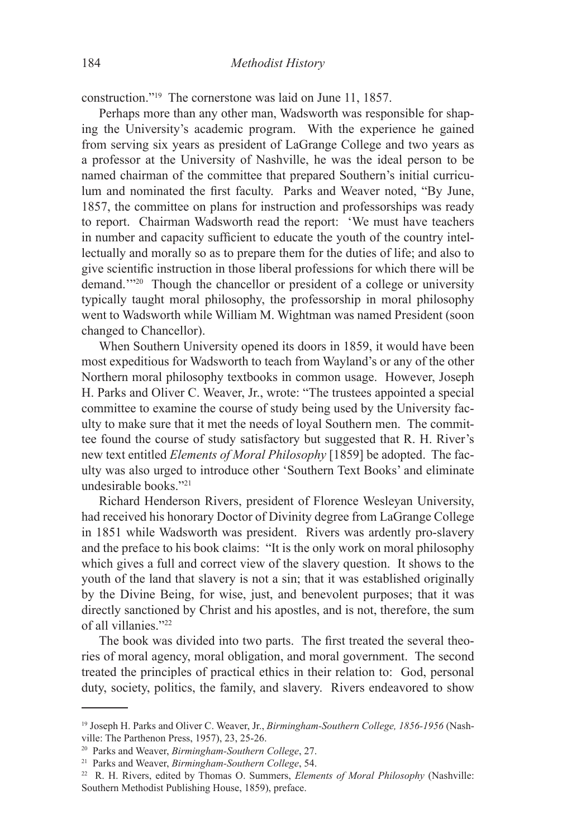construction."19 The cornerstone was laid on June 11, 1857.

Perhaps more than any other man, Wadsworth was responsible for shaping the University's academic program. With the experience he gained from serving six years as president of LaGrange College and two years as a professor at the University of Nashville, he was the ideal person to be named chairman of the committee that prepared Southern's initial curriculum and nominated the first faculty. Parks and Weaver noted, "By June, 1857, the committee on plans for instruction and professorships was ready to report. Chairman Wadsworth read the report: 'We must have teachers in number and capacity sufficient to educate the youth of the country intellectually and morally so as to prepare them for the duties of life; and also to give scientific instruction in those liberal professions for which there will be demand.'"20 Though the chancellor or president of a college or university typically taught moral philosophy, the professorship in moral philosophy went to Wadsworth while William M. Wightman was named President (soon changed to Chancellor).

When Southern University opened its doors in 1859, it would have been most expeditious for Wadsworth to teach from Wayland's or any of the other Northern moral philosophy textbooks in common usage. However, Joseph H. Parks and Oliver C. Weaver, Jr., wrote: "The trustees appointed a special committee to examine the course of study being used by the University faculty to make sure that it met the needs of loyal Southern men. The committee found the course of study satisfactory but suggested that R. H. River's new text entitled *Elements of Moral Philosophy* [1859] be adopted. The faculty was also urged to introduce other 'Southern Text Books' and eliminate undesirable books."21

Richard Henderson Rivers, president of Florence Wesleyan University, had received his honorary Doctor of Divinity degree from LaGrange College in 1851 while Wadsworth was president. Rivers was ardently pro-slavery and the preface to his book claims: "It is the only work on moral philosophy which gives a full and correct view of the slavery question. It shows to the youth of the land that slavery is not a sin; that it was established originally by the Divine Being, for wise, just, and benevolent purposes; that it was directly sanctioned by Christ and his apostles, and is not, therefore, the sum of all villanies."22

The book was divided into two parts. The first treated the several theories of moral agency, moral obligation, and moral government. The second treated the principles of practical ethics in their relation to: God, personal duty, society, politics, the family, and slavery. Rivers endeavored to show

<sup>19</sup> Joseph H. Parks and Oliver C. Weaver, Jr., *Birmingham-Southern College, 1856-1956* (Nashville: The Parthenon Press, 1957), 23, 25-26.

<sup>20</sup> Parks and Weaver, *Birmingham-Southern College*, 27.

<sup>21</sup> Parks and Weaver, *Birmingham-Southern College*, 54.

<sup>22</sup> R. H. Rivers, edited by Thomas O. Summers, *Elements of Moral Philosophy* (Nashville: Southern Methodist Publishing House, 1859), preface.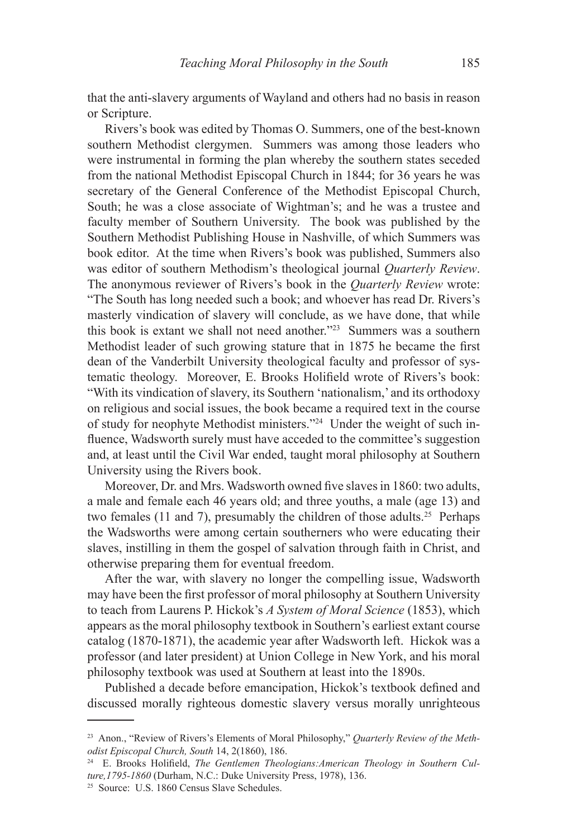that the anti-slavery arguments of Wayland and others had no basis in reason or Scripture.

Rivers's book was edited by Thomas O. Summers, one of the best-known southern Methodist clergymen. Summers was among those leaders who were instrumental in forming the plan whereby the southern states seceded from the national Methodist Episcopal Church in 1844; for 36 years he was secretary of the General Conference of the Methodist Episcopal Church, South; he was a close associate of Wightman's; and he was a trustee and faculty member of Southern University. The book was published by the Southern Methodist Publishing House in Nashville, of which Summers was book editor. At the time when Rivers's book was published, Summers also was editor of southern Methodism's theological journal *Quarterly Review*. The anonymous reviewer of Rivers's book in the *Quarterly Review* wrote: "The South has long needed such a book; and whoever has read Dr. Rivers's masterly vindication of slavery will conclude, as we have done, that while this book is extant we shall not need another."<sup>23</sup> Summers was a southern Methodist leader of such growing stature that in 1875 he became the first dean of the Vanderbilt University theological faculty and professor of systematic theology. Moreover, E. Brooks Holifield wrote of Rivers's book: "With its vindication of slavery, its Southern 'nationalism,' and its orthodoxy on religious and social issues, the book became a required text in the course of study for neophyte Methodist ministers."24 Under the weight of such influence, Wadsworth surely must have acceded to the committee's suggestion and, at least until the Civil War ended, taught moral philosophy at Southern University using the Rivers book.

Moreover, Dr. and Mrs. Wadsworth owned five slaves in 1860: two adults, a male and female each 46 years old; and three youths, a male (age 13) and two females (11 and 7), presumably the children of those adults.<sup>25</sup> Perhaps the Wadsworths were among certain southerners who were educating their slaves, instilling in them the gospel of salvation through faith in Christ, and otherwise preparing them for eventual freedom.

After the war, with slavery no longer the compelling issue, Wadsworth may have been the first professor of moral philosophy at Southern University to teach from Laurens P. Hickok's *A System of Moral Science* (1853), which appears as the moral philosophy textbook in Southern's earliest extant course catalog (1870-1871), the academic year after Wadsworth left. Hickok was a professor (and later president) at Union College in New York, and his moral philosophy textbook was used at Southern at least into the 1890s.

Published a decade before emancipation, Hickok's textbook defined and discussed morally righteous domestic slavery versus morally unrighteous

<sup>23</sup> Anon., "Review of Rivers's Elements of Moral Philosophy," *Quarterly Review of the Methodist Episcopal Church, South* 14, 2(1860), 186.

<sup>24</sup> E. Brooks Holifield, *The Gentlemen Theologians:American Theology in Southern Culture,1795-1860* (Durham, N.C.: Duke University Press, 1978), 136.

<sup>25</sup> Source: U.S. 1860 Census Slave Schedules.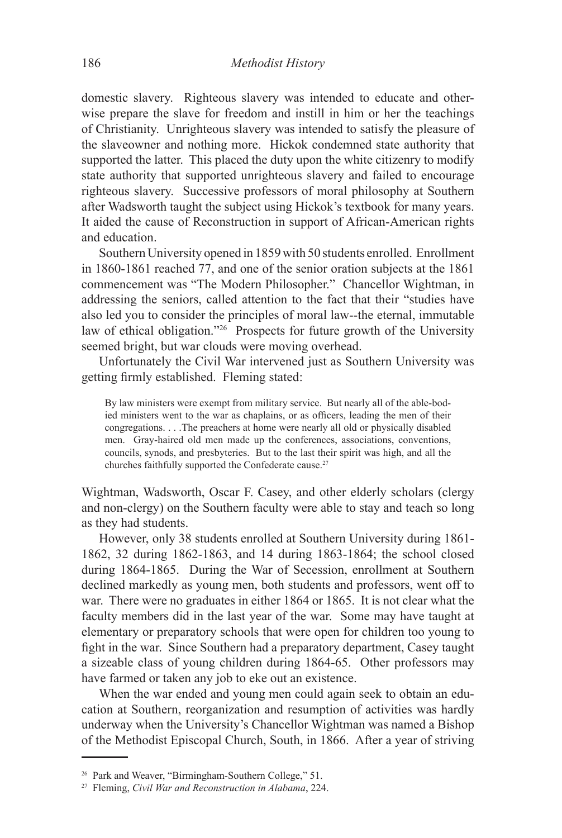domestic slavery. Righteous slavery was intended to educate and otherwise prepare the slave for freedom and instill in him or her the teachings of Christianity. Unrighteous slavery was intended to satisfy the pleasure of the slaveowner and nothing more. Hickok condemned state authority that supported the latter. This placed the duty upon the white citizenry to modify state authority that supported unrighteous slavery and failed to encourage righteous slavery. Successive professors of moral philosophy at Southern after Wadsworth taught the subject using Hickok's textbook for many years. It aided the cause of Reconstruction in support of African-American rights and education.

Southern University opened in 1859 with 50 students enrolled. Enrollment in 1860-1861 reached 77, and one of the senior oration subjects at the 1861 commencement was "The Modern Philosopher." Chancellor Wightman, in addressing the seniors, called attention to the fact that their "studies have also led you to consider the principles of moral law--the eternal, immutable law of ethical obligation."26 Prospects for future growth of the University seemed bright, but war clouds were moving overhead.

Unfortunately the Civil War intervened just as Southern University was getting firmly established. Fleming stated:

By law ministers were exempt from military service. But nearly all of the able-bodied ministers went to the war as chaplains, or as officers, leading the men of their congregations. . . .The preachers at home were nearly all old or physically disabled men. Gray-haired old men made up the conferences, associations, conventions, councils, synods, and presbyteries. But to the last their spirit was high, and all the churches faithfully supported the Confederate cause.<sup>27</sup>

Wightman, Wadsworth, Oscar F. Casey, and other elderly scholars (clergy and non-clergy) on the Southern faculty were able to stay and teach so long as they had students.

However, only 38 students enrolled at Southern University during 1861- 1862, 32 during 1862-1863, and 14 during 1863-1864; the school closed during 1864-1865. During the War of Secession, enrollment at Southern declined markedly as young men, both students and professors, went off to war. There were no graduates in either 1864 or 1865. It is not clear what the faculty members did in the last year of the war. Some may have taught at elementary or preparatory schools that were open for children too young to fight in the war. Since Southern had a preparatory department, Casey taught a sizeable class of young children during 1864-65. Other professors may have farmed or taken any job to eke out an existence.

When the war ended and young men could again seek to obtain an education at Southern, reorganization and resumption of activities was hardly underway when the University's Chancellor Wightman was named a Bishop of the Methodist Episcopal Church, South, in 1866. After a year of striving

<sup>26</sup> Park and Weaver, "Birmingham-Southern College," 51.

<sup>27</sup> Fleming, *Civil War and Reconstruction in Alabama*, 224.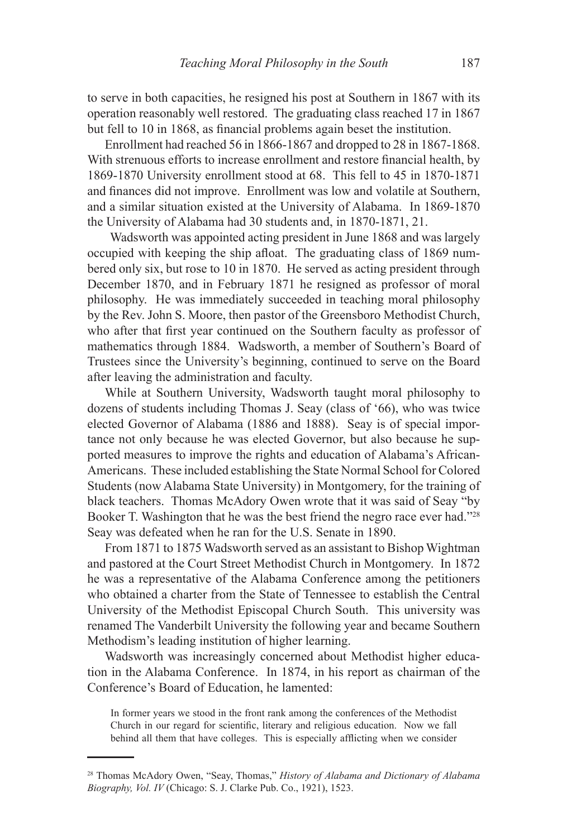to serve in both capacities, he resigned his post at Southern in 1867 with its operation reasonably well restored. The graduating class reached 17 in 1867 but fell to 10 in 1868, as financial problems again beset the institution.

Enrollment had reached 56 in 1866-1867 and dropped to 28 in 1867-1868. With strenuous efforts to increase enrollment and restore financial health, by 1869-1870 University enrollment stood at 68. This fell to 45 in 1870-1871 and finances did not improve. Enrollment was low and volatile at Southern, and a similar situation existed at the University of Alabama. In 1869-1870 the University of Alabama had 30 students and, in 1870-1871, 21.

 Wadsworth was appointed acting president in June 1868 and was largely occupied with keeping the ship afloat. The graduating class of 1869 numbered only six, but rose to 10 in 1870. He served as acting president through December 1870, and in February 1871 he resigned as professor of moral philosophy. He was immediately succeeded in teaching moral philosophy by the Rev. John S. Moore, then pastor of the Greensboro Methodist Church, who after that first year continued on the Southern faculty as professor of mathematics through 1884. Wadsworth, a member of Southern's Board of Trustees since the University's beginning, continued to serve on the Board after leaving the administration and faculty.

While at Southern University, Wadsworth taught moral philosophy to dozens of students including Thomas J. Seay (class of '66), who was twice elected Governor of Alabama (1886 and 1888). Seay is of special importance not only because he was elected Governor, but also because he supported measures to improve the rights and education of Alabama's African-Americans. These included establishing the State Normal School for Colored Students (now Alabama State University) in Montgomery, for the training of black teachers. Thomas McAdory Owen wrote that it was said of Seay "by Booker T. Washington that he was the best friend the negro race ever had."28 Seay was defeated when he ran for the U.S. Senate in 1890.

From 1871 to 1875 Wadsworth served as an assistant to Bishop Wightman and pastored at the Court Street Methodist Church in Montgomery. In 1872 he was a representative of the Alabama Conference among the petitioners who obtained a charter from the State of Tennessee to establish the Central University of the Methodist Episcopal Church South. This university was renamed The Vanderbilt University the following year and became Southern Methodism's leading institution of higher learning.

Wadsworth was increasingly concerned about Methodist higher education in the Alabama Conference. In 1874, in his report as chairman of the Conference's Board of Education, he lamented:

In former years we stood in the front rank among the conferences of the Methodist Church in our regard for scientific, literary and religious education. Now we fall behind all them that have colleges. This is especially afflicting when we consider

<sup>28</sup> Thomas McAdory Owen, "Seay, Thomas," *History of Alabama and Dictionary of Alabama Biography, Vol. IV* (Chicago: S. J. Clarke Pub. Co., 1921), 1523.